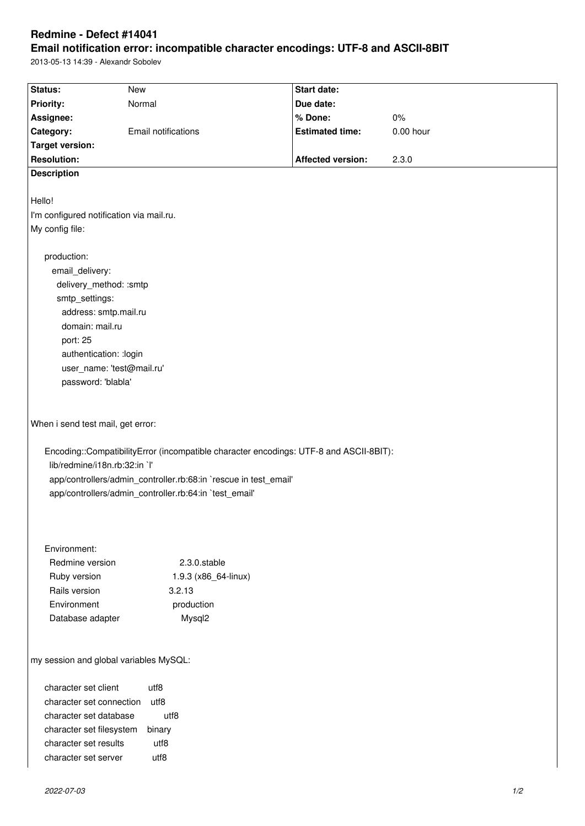# **Redmine - Defect #14041**

# **Email notification error: incompatible character encodings: UTF-8 and ASCII-8BIT**

2013-05-13 14:39 - Alexandr Sobolev

| Status:                                                                                                                                                                                                                                                                                    | <b>New</b>                 | <b>Start date:</b>       |             |
|--------------------------------------------------------------------------------------------------------------------------------------------------------------------------------------------------------------------------------------------------------------------------------------------|----------------------------|--------------------------|-------------|
| <b>Priority:</b>                                                                                                                                                                                                                                                                           | Normal                     | Due date:                |             |
| Assignee:                                                                                                                                                                                                                                                                                  |                            | % Done:                  | $0\%$       |
| Category:                                                                                                                                                                                                                                                                                  | <b>Email notifications</b> | <b>Estimated time:</b>   | $0.00$ hour |
| <b>Target version:</b>                                                                                                                                                                                                                                                                     |                            |                          |             |
| <b>Resolution:</b>                                                                                                                                                                                                                                                                         |                            | <b>Affected version:</b> | 2.3.0       |
| <b>Description</b>                                                                                                                                                                                                                                                                         |                            |                          |             |
|                                                                                                                                                                                                                                                                                            |                            |                          |             |
| Hello!                                                                                                                                                                                                                                                                                     |                            |                          |             |
| I'm configured notification via mail.ru.                                                                                                                                                                                                                                                   |                            |                          |             |
| My config file:                                                                                                                                                                                                                                                                            |                            |                          |             |
|                                                                                                                                                                                                                                                                                            |                            |                          |             |
| production:                                                                                                                                                                                                                                                                                |                            |                          |             |
| email_delivery:                                                                                                                                                                                                                                                                            |                            |                          |             |
| delivery_method: :smtp                                                                                                                                                                                                                                                                     |                            |                          |             |
| smtp_settings:                                                                                                                                                                                                                                                                             |                            |                          |             |
| address: smtp.mail.ru                                                                                                                                                                                                                                                                      |                            |                          |             |
| domain: mail.ru                                                                                                                                                                                                                                                                            |                            |                          |             |
| port: 25                                                                                                                                                                                                                                                                                   |                            |                          |             |
| authentication: : login                                                                                                                                                                                                                                                                    |                            |                          |             |
| user_name: 'test@mail.ru'                                                                                                                                                                                                                                                                  |                            |                          |             |
| password: 'blabla'                                                                                                                                                                                                                                                                         |                            |                          |             |
|                                                                                                                                                                                                                                                                                            |                            |                          |             |
| When i send test mail, get error:<br>Encoding::CompatibilityError (incompatible character encodings: UTF-8 and ASCII-8BIT):<br>lib/redmine/i18n.rb:32:in `l'<br>app/controllers/admin_controller.rb:68:in `rescue in test_email'<br>app/controllers/admin_controller.rb:64:in `test_email' |                            |                          |             |
| Environment:<br>Redmine version                                                                                                                                                                                                                                                            | 2.3.0.stable               |                          |             |
| Ruby version                                                                                                                                                                                                                                                                               | 1.9.3 (x86_64-linux)       |                          |             |
| Rails version                                                                                                                                                                                                                                                                              | 3.2.13                     |                          |             |
| Environment                                                                                                                                                                                                                                                                                | production                 |                          |             |
| Database adapter                                                                                                                                                                                                                                                                           | Mysql2                     |                          |             |
|                                                                                                                                                                                                                                                                                            |                            |                          |             |
| my session and global variables MySQL:                                                                                                                                                                                                                                                     |                            |                          |             |
| character set client                                                                                                                                                                                                                                                                       | utf8                       |                          |             |
| character set connection                                                                                                                                                                                                                                                                   | utf8                       |                          |             |
| character set database<br>utf8                                                                                                                                                                                                                                                             |                            |                          |             |
| character set filesystem<br>binary                                                                                                                                                                                                                                                         |                            |                          |             |
| character set results<br>utf8                                                                                                                                                                                                                                                              |                            |                          |             |
|                                                                                                                                                                                                                                                                                            |                            |                          |             |
| character set server                                                                                                                                                                                                                                                                       | utf8                       |                          |             |